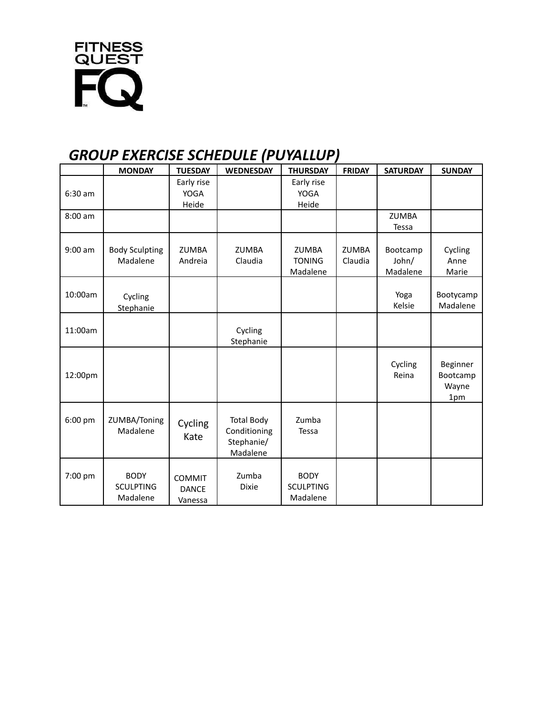

## *GROUP EXERCISE SCHEDULE (PUYALLUP)*

|           | <b>MONDAY</b>                               | <b>TUESDAY</b>                           | <b>WEDNESDAY</b>                                            | <b>THURSDAY</b>                             | <b>FRIDAY</b>           | <b>SATURDAY</b>               | <b>SUNDAY</b>                        |
|-----------|---------------------------------------------|------------------------------------------|-------------------------------------------------------------|---------------------------------------------|-------------------------|-------------------------------|--------------------------------------|
| $6:30$ am |                                             | Early rise<br><b>YOGA</b><br>Heide       |                                                             | Early rise<br><b>YOGA</b><br>Heide          |                         |                               |                                      |
| 8:00 am   |                                             |                                          |                                                             |                                             |                         | <b>ZUMBA</b><br>Tessa         |                                      |
| $9:00$ am | <b>Body Sculpting</b><br>Madalene           | <b>ZUMBA</b><br>Andreia                  | <b>ZUMBA</b><br>Claudia                                     | <b>ZUMBA</b><br><b>TONING</b><br>Madalene   | <b>ZUMBA</b><br>Claudia | Bootcamp<br>John/<br>Madalene | Cycling<br>Anne<br>Marie             |
| 10:00am   | Cycling<br>Stephanie                        |                                          |                                                             |                                             |                         | Yoga<br>Kelsie                | Bootycamp<br>Madalene                |
| 11:00am   |                                             |                                          | Cycling<br>Stephanie                                        |                                             |                         |                               |                                      |
| 12:00pm   |                                             |                                          |                                                             |                                             |                         | Cycling<br>Reina              | Beginner<br>Bootcamp<br>Wayne<br>1pm |
| 6:00 pm   | ZUMBA/Toning<br>Madalene                    | Cycling<br>Kate                          | <b>Total Body</b><br>Conditioning<br>Stephanie/<br>Madalene | Zumba<br>Tessa                              |                         |                               |                                      |
| 7:00 pm   | <b>BODY</b><br><b>SCULPTING</b><br>Madalene | <b>COMMIT</b><br><b>DANCE</b><br>Vanessa | Zumba<br><b>Dixie</b>                                       | <b>BODY</b><br><b>SCULPTING</b><br>Madalene |                         |                               |                                      |